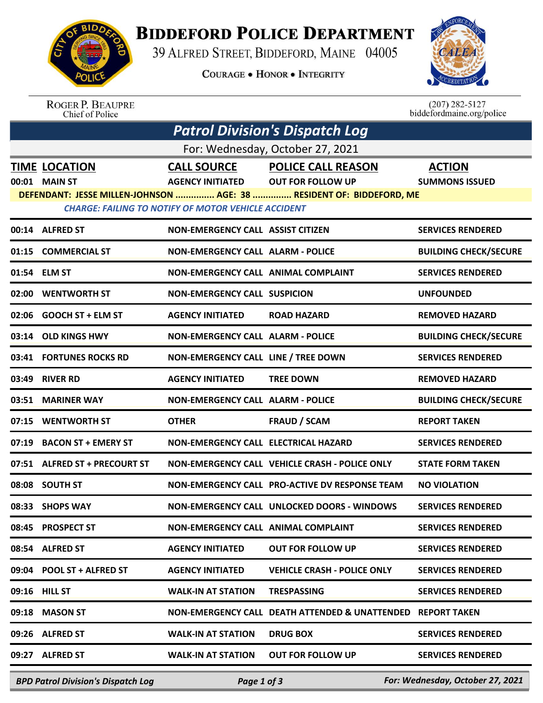

## **BIDDEFORD POLICE DEPARTMENT**

39 ALFRED STREET, BIDDEFORD, MAINE 04005

**COURAGE . HONOR . INTEGRITY** 



ROGER P. BEAUPRE<br>Chief of Police

 $(207)$  282-5127<br>biddefordmaine.org/police

| <b>Patrol Division's Dispatch Log</b>                                                                                              |                                           |                                          |                                                |                                  |  |  |  |  |
|------------------------------------------------------------------------------------------------------------------------------------|-------------------------------------------|------------------------------------------|------------------------------------------------|----------------------------------|--|--|--|--|
| For: Wednesday, October 27, 2021                                                                                                   |                                           |                                          |                                                |                                  |  |  |  |  |
|                                                                                                                                    | <b>TIME LOCATION</b>                      | <b>CALL SOURCE</b>                       | <b>POLICE CALL REASON</b>                      | <b>ACTION</b>                    |  |  |  |  |
|                                                                                                                                    | 00:01 MAIN ST                             | <b>AGENCY INITIATED</b>                  | <b>OUT FOR FOLLOW UP</b>                       | <b>SUMMONS ISSUED</b>            |  |  |  |  |
| DEFENDANT: JESSE MILLEN-JOHNSON  AGE: 38  RESIDENT OF: BIDDEFORD, ME<br><b>CHARGE: FAILING TO NOTIFY OF MOTOR VEHICLE ACCIDENT</b> |                                           |                                          |                                                |                                  |  |  |  |  |
|                                                                                                                                    | 00:14 ALFRED ST                           | <b>NON-EMERGENCY CALL ASSIST CITIZEN</b> |                                                | <b>SERVICES RENDERED</b>         |  |  |  |  |
|                                                                                                                                    | 01:15 COMMERCIAL ST                       | <b>NON-EMERGENCY CALL ALARM - POLICE</b> |                                                | <b>BUILDING CHECK/SECURE</b>     |  |  |  |  |
|                                                                                                                                    | 01:54 ELM ST                              | NON-EMERGENCY CALL ANIMAL COMPLAINT      |                                                | <b>SERVICES RENDERED</b>         |  |  |  |  |
|                                                                                                                                    | 02:00 WENTWORTH ST                        | <b>NON-EMERGENCY CALL SUSPICION</b>      |                                                | <b>UNFOUNDED</b>                 |  |  |  |  |
|                                                                                                                                    | 02:06 GOOCH ST + ELM ST                   | <b>AGENCY INITIATED</b>                  | <b>ROAD HAZARD</b>                             | <b>REMOVED HAZARD</b>            |  |  |  |  |
|                                                                                                                                    | 03:14 OLD KINGS HWY                       | <b>NON-EMERGENCY CALL ALARM - POLICE</b> |                                                | <b>BUILDING CHECK/SECURE</b>     |  |  |  |  |
|                                                                                                                                    | 03:41 FORTUNES ROCKS RD                   | NON-EMERGENCY CALL LINE / TREE DOWN      |                                                | <b>SERVICES RENDERED</b>         |  |  |  |  |
| 03:49                                                                                                                              | <b>RIVER RD</b>                           | <b>AGENCY INITIATED</b>                  | <b>TREE DOWN</b>                               | <b>REMOVED HAZARD</b>            |  |  |  |  |
|                                                                                                                                    | 03:51 MARINER WAY                         | <b>NON-EMERGENCY CALL ALARM - POLICE</b> |                                                | <b>BUILDING CHECK/SECURE</b>     |  |  |  |  |
|                                                                                                                                    | 07:15 WENTWORTH ST                        | <b>OTHER</b>                             | <b>FRAUD / SCAM</b>                            | <b>REPORT TAKEN</b>              |  |  |  |  |
| 07:19                                                                                                                              | <b>BACON ST + EMERY ST</b>                | NON-EMERGENCY CALL ELECTRICAL HAZARD     |                                                | <b>SERVICES RENDERED</b>         |  |  |  |  |
|                                                                                                                                    | 07:51 ALFRED ST + PRECOURT ST             |                                          | NON-EMERGENCY CALL VEHICLE CRASH - POLICE ONLY | <b>STATE FORM TAKEN</b>          |  |  |  |  |
|                                                                                                                                    | 08:08 SOUTH ST                            |                                          | NON-EMERGENCY CALL PRO-ACTIVE DV RESPONSE TEAM | <b>NO VIOLATION</b>              |  |  |  |  |
| 08:33                                                                                                                              | <b>SHOPS WAY</b>                          |                                          | NON-EMERGENCY CALL UNLOCKED DOORS - WINDOWS    | <b>SERVICES RENDERED</b>         |  |  |  |  |
|                                                                                                                                    | 08:45 PROSPECT ST                         | NON-EMERGENCY CALL ANIMAL COMPLAINT      |                                                | <b>SERVICES RENDERED</b>         |  |  |  |  |
| 08:54                                                                                                                              | <b>ALFRED ST</b>                          | <b>AGENCY INITIATED</b>                  | <b>OUT FOR FOLLOW UP</b>                       | <b>SERVICES RENDERED</b>         |  |  |  |  |
|                                                                                                                                    | 09:04 POOL ST + ALFRED ST                 | <b>AGENCY INITIATED</b>                  | <b>VEHICLE CRASH - POLICE ONLY</b>             | <b>SERVICES RENDERED</b>         |  |  |  |  |
|                                                                                                                                    | 09:16 HILL ST                             | <b>WALK-IN AT STATION</b>                | <b>TRESPASSING</b>                             | <b>SERVICES RENDERED</b>         |  |  |  |  |
| 09:18                                                                                                                              | <b>MASON ST</b>                           |                                          | NON-EMERGENCY CALL DEATH ATTENDED & UNATTENDED | <b>REPORT TAKEN</b>              |  |  |  |  |
|                                                                                                                                    | 09:26 ALFRED ST                           | <b>WALK-IN AT STATION</b>                | <b>DRUG BOX</b>                                | <b>SERVICES RENDERED</b>         |  |  |  |  |
|                                                                                                                                    | 09:27 ALFRED ST                           | <b>WALK-IN AT STATION</b>                | <b>OUT FOR FOLLOW UP</b>                       | <b>SERVICES RENDERED</b>         |  |  |  |  |
|                                                                                                                                    | <b>BPD Patrol Division's Dispatch Log</b> | Page 1 of 3                              |                                                | For: Wednesday, October 27, 2021 |  |  |  |  |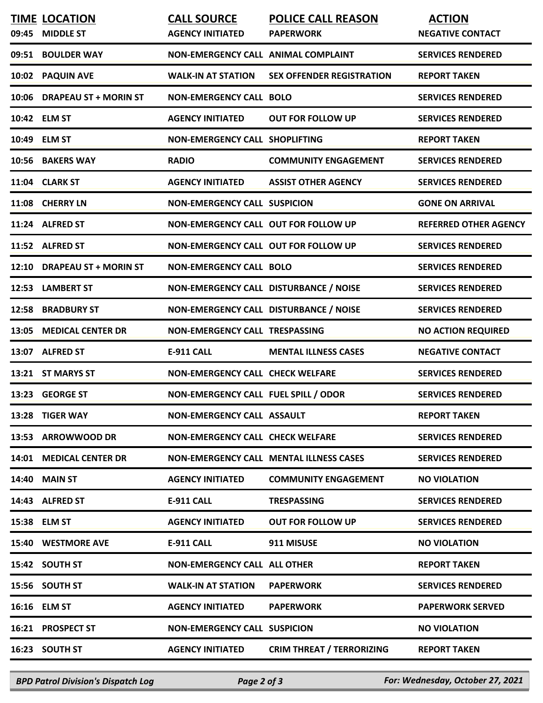|       | <b>TIME LOCATION</b>        | <b>CALL SOURCE</b>                          | <b>POLICE CALL REASON</b>                      | <b>ACTION</b>                |
|-------|-----------------------------|---------------------------------------------|------------------------------------------------|------------------------------|
| 09:45 | <b>MIDDLE ST</b>            | <b>AGENCY INITIATED</b>                     | <b>PAPERWORK</b>                               | <b>NEGATIVE CONTACT</b>      |
|       | 09:51 BOULDER WAY           | NON-EMERGENCY CALL ANIMAL COMPLAINT         |                                                | <b>SERVICES RENDERED</b>     |
|       | 10:02 PAQUIN AVE            | <b>WALK-IN AT STATION</b>                   | <b>SEX OFFENDER REGISTRATION</b>               | <b>REPORT TAKEN</b>          |
|       | 10:06 DRAPEAU ST + MORIN ST | <b>NON-EMERGENCY CALL BOLO</b>              |                                                | <b>SERVICES RENDERED</b>     |
|       | 10:42 ELM ST                | <b>AGENCY INITIATED</b>                     | <b>OUT FOR FOLLOW UP</b>                       | <b>SERVICES RENDERED</b>     |
|       | 10:49 ELM ST                | <b>NON-EMERGENCY CALL SHOPLIFTING</b>       |                                                | <b>REPORT TAKEN</b>          |
|       | 10:56 BAKERS WAY            | <b>RADIO</b>                                | <b>COMMUNITY ENGAGEMENT</b>                    | <b>SERVICES RENDERED</b>     |
|       | 11:04 CLARK ST              | <b>AGENCY INITIATED</b>                     | <b>ASSIST OTHER AGENCY</b>                     | <b>SERVICES RENDERED</b>     |
|       | 11:08 CHERRY LN             | <b>NON-EMERGENCY CALL SUSPICION</b>         |                                                | <b>GONE ON ARRIVAL</b>       |
|       | 11:24 ALFRED ST             | <b>NON-EMERGENCY CALL OUT FOR FOLLOW UP</b> |                                                | <b>REFERRED OTHER AGENCY</b> |
|       | 11:52 ALFRED ST             | NON-EMERGENCY CALL OUT FOR FOLLOW UP        |                                                | <b>SERVICES RENDERED</b>     |
|       | 12:10 DRAPEAU ST + MORIN ST | <b>NON-EMERGENCY CALL BOLO</b>              |                                                | <b>SERVICES RENDERED</b>     |
|       | 12:53 LAMBERT ST            | NON-EMERGENCY CALL DISTURBANCE / NOISE      |                                                | <b>SERVICES RENDERED</b>     |
|       | 12:58 BRADBURY ST           | NON-EMERGENCY CALL DISTURBANCE / NOISE      |                                                | <b>SERVICES RENDERED</b>     |
|       | 13:05 MEDICAL CENTER DR     | NON-EMERGENCY CALL TRESPASSING              |                                                | <b>NO ACTION REQUIRED</b>    |
|       | 13:07 ALFRED ST             | <b>E-911 CALL</b>                           | <b>MENTAL ILLNESS CASES</b>                    | <b>NEGATIVE CONTACT</b>      |
|       | 13:21 ST MARYS ST           | <b>NON-EMERGENCY CALL CHECK WELFARE</b>     |                                                | <b>SERVICES RENDERED</b>     |
|       | 13:23 GEORGE ST             | NON-EMERGENCY CALL FUEL SPILL / ODOR        |                                                | <b>SERVICES RENDERED</b>     |
|       | 13:28 TIGER WAY             | <b>NON-EMERGENCY CALL ASSAULT</b>           |                                                | <b>REPORT TAKEN</b>          |
|       | 13:53 ARROWWOOD DR          | <b>NON-EMERGENCY CALL CHECK WELFARE</b>     |                                                | <b>SERVICES RENDERED</b>     |
|       | 14:01 MEDICAL CENTER DR     |                                             | <b>NON-EMERGENCY CALL MENTAL ILLNESS CASES</b> | <b>SERVICES RENDERED</b>     |
|       | <b>14:40 MAIN ST</b>        | <b>AGENCY INITIATED</b>                     | <b>COMMUNITY ENGAGEMENT</b>                    | <b>NO VIOLATION</b>          |
|       | 14:43 ALFRED ST             | <b>E-911 CALL</b>                           | <b>TRESPASSING</b>                             | <b>SERVICES RENDERED</b>     |
|       | 15:38 ELM ST                | <b>AGENCY INITIATED</b>                     | <b>OUT FOR FOLLOW UP</b>                       | <b>SERVICES RENDERED</b>     |
|       | 15:40 WESTMORE AVE          | <b>E-911 CALL</b>                           | 911 MISUSE                                     | <b>NO VIOLATION</b>          |
|       | 15:42 SOUTH ST              | <b>NON-EMERGENCY CALL ALL OTHER</b>         |                                                | <b>REPORT TAKEN</b>          |
|       | 15:56 SOUTH ST              | <b>WALK-IN AT STATION</b>                   | <b>PAPERWORK</b>                               | <b>SERVICES RENDERED</b>     |
|       | 16:16 ELM ST                | <b>AGENCY INITIATED</b>                     | <b>PAPERWORK</b>                               | <b>PAPERWORK SERVED</b>      |
|       | 16:21 PROSPECT ST           | <b>NON-EMERGENCY CALL SUSPICION</b>         |                                                | <b>NO VIOLATION</b>          |
|       | 16:23 SOUTH ST              | <b>AGENCY INITIATED</b>                     | <b>CRIM THREAT / TERRORIZING</b>               | <b>REPORT TAKEN</b>          |

*BPD Patrol Division's Dispatch Log Page 2 of 3 For: Wednesday, October 27, 2021*